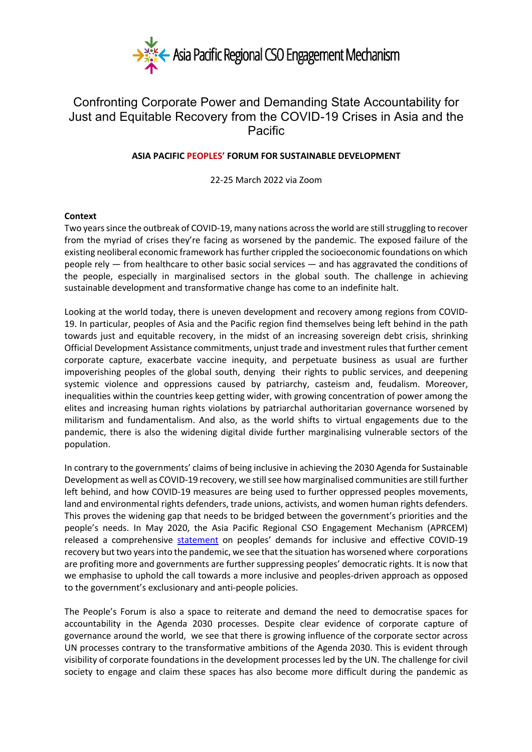

# Confronting Corporate Power and Demanding State Accountability for Just and Equitable Recovery from the COVID-19 Crises in Asia and the Pacific

## **ASIA PACIFIC PEOPLES' FORUM FOR SUSTAINABLE DEVELOPMENT**

22-25 March 2022 via Zoom

#### **Context**

Two years since the outbreak of COVID-19, many nations across the world are still struggling to recover from the myriad of crises they're facing as worsened by the pandemic. The exposed failure of the existing neoliberal economic framework has further crippled the socioeconomic foundations on which people rely — from healthcare to other basic social services — and has aggravated the conditions of the people, especially in marginalised sectors in the global south. The challenge in achieving sustainable development and transformative change has come to an indefinite halt.

Looking at the world today, there is uneven development and recovery among regions from COVID-19. In particular, peoples of Asia and the Pacific region find themselves being left behind in the path towards just and equitable recovery, in the midst of an increasing sovereign debt crisis, shrinking Official Development Assistance commitments, unjust trade and investment rules that further cement corporate capture, exacerbate vaccine inequity, and perpetuate business as usual are further impoverishing peoples of the global south, denying their rights to public services, and deepening systemic violence and oppressions caused by patriarchy, casteism and, feudalism. Moreover, inequalities within the countries keep getting wider, with growing concentration of power among the elites and increasing human rights violations by patriarchal authoritarian governance worsened by militarism and fundamentalism. And also, as the world shifts to virtual engagements due to the pandemic, there is also the widening digital divide further marginalising vulnerable sectors of the population.

In contrary to the governments' claims of being inclusive in achieving the 2030 Agenda for Sustainable Development as well as COVID-19 recovery, we still see how marginalised communities are still further left behind, and how COVID-19 measures are being used to further oppressed peoples movements, land and environmental rights defenders, trade unions, activists, and women human rights defenders. This proves the widening gap that needs to be bridged between the government's priorities and the people's needs. In May 2020, the Asia Pacific Regional CSO Engagement Mechanism (APRCEM) released a comprehensive statement on peoples' demands for inclusive and effective COVID-19 recovery but two years into the pandemic, we see that the situation has worsened where corporations are profiting more and governments are further suppressing peoples' democratic rights. It is now that we emphasise to uphold the call towards a more inclusive and peoples-driven approach as opposed to the government's exclusionary and anti-people policies.

The People's Forum is also a space to reiterate and demand the need to democratise spaces for accountability in the Agenda 2030 processes. Despite clear evidence of corporate capture of governance around the world, we see that there is growing influence of the corporate sector across UN processes contrary to the transformative ambitions of the Agenda 2030. This is evident through visibility of corporate foundations in the development processes led by the UN. The challenge for civil society to engage and claim these spaces has also become more difficult during the pandemic as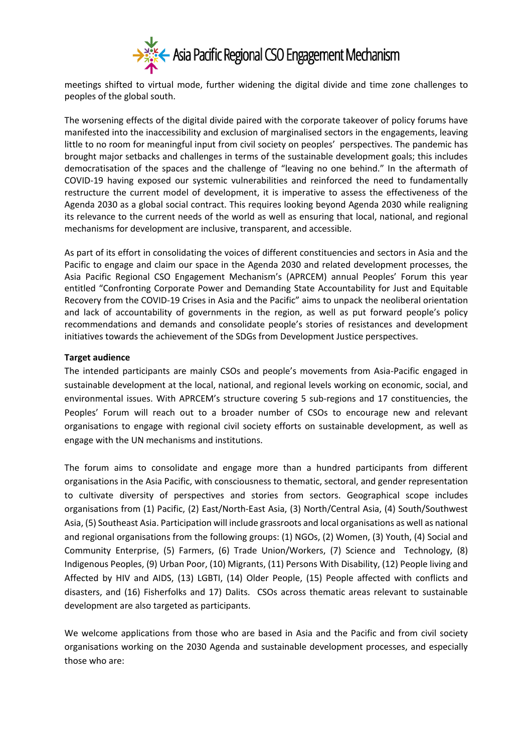

meetings shifted to virtual mode, further widening the digital divide and time zone challenges to peoples of the global south.

The worsening effects of the digital divide paired with the corporate takeover of policy forums have manifested into the inaccessibility and exclusion of marginalised sectors in the engagements, leaving little to no room for meaningful input from civil society on peoples' perspectives. The pandemic has brought major setbacks and challenges in terms of the sustainable development goals; this includes democratisation of the spaces and the challenge of "leaving no one behind." In the aftermath of COVID-19 having exposed our systemic vulnerabilities and reinforced the need to fundamentally restructure the current model of development, it is imperative to assess the effectiveness of the Agenda 2030 as a global social contract. This requires looking beyond Agenda 2030 while realigning its relevance to the current needs of the world as well as ensuring that local, national, and regional mechanisms for development are inclusive, transparent, and accessible.

As part of its effort in consolidating the voices of different constituencies and sectors in Asia and the Pacific to engage and claim our space in the Agenda 2030 and related development processes, the Asia Pacific Regional CSO Engagement Mechanism's (APRCEM) annual Peoples' Forum this year entitled "Confronting Corporate Power and Demanding State Accountability for Just and Equitable Recovery from the COVID-19 Crises in Asia and the Pacific" aims to unpack the neoliberal orientation and lack of accountability of governments in the region, as well as put forward people's policy recommendations and demands and consolidate people's stories of resistances and development initiatives towards the achievement of the SDGs from Development Justice perspectives.

#### **Target audience**

The intended participants are mainly CSOs and people's movements from Asia-Pacific engaged in sustainable development at the local, national, and regional levels working on economic, social, and environmental issues. With APRCEM's structure covering 5 sub-regions and 17 constituencies, the Peoples' Forum will reach out to a broader number of CSOs to encourage new and relevant organisations to engage with regional civil society efforts on sustainable development, as well as engage with the UN mechanisms and institutions.

The forum aims to consolidate and engage more than a hundred participants from different organisations in the Asia Pacific, with consciousness to thematic, sectoral, and gender representation to cultivate diversity of perspectives and stories from sectors. Geographical scope includes organisations from (1) Pacific, (2) East/North-East Asia, (3) North/Central Asia, (4) South/Southwest Asia, (5) Southeast Asia. Participation will include grassroots and local organisations as well as national and regional organisations from the following groups: (1) NGOs, (2) Women, (3) Youth, (4) Social and Community Enterprise, (5) Farmers, (6) Trade Union/Workers, (7) Science and Technology, (8) Indigenous Peoples, (9) Urban Poor, (10) Migrants, (11) Persons With Disability, (12) People living and Affected by HIV and AIDS, (13) LGBTI, (14) Older People, (15) People affected with conflicts and disasters, and (16) Fisherfolks and 17) Dalits. CSOs across thematic areas relevant to sustainable development are also targeted as participants.

We welcome applications from those who are based in Asia and the Pacific and from civil society organisations working on the 2030 Agenda and sustainable development processes, and especially those who are: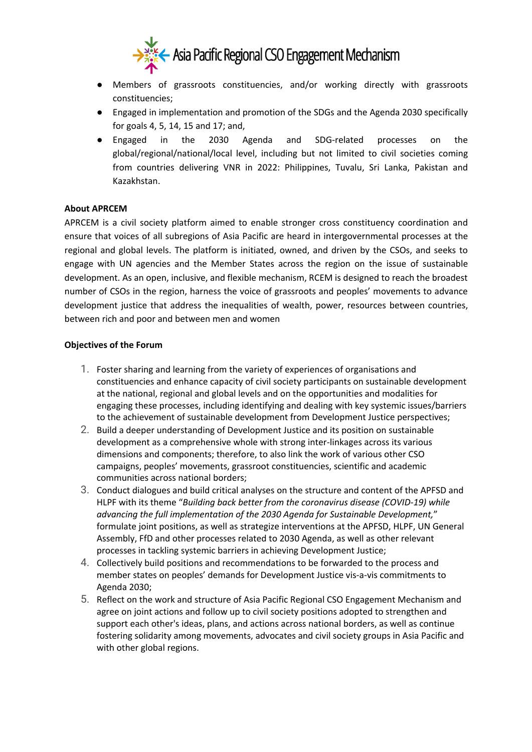

- Members of grassroots constituencies, and/or working directly with grassroots constituencies;
- Engaged in implementation and promotion of the SDGs and the Agenda 2030 specifically for goals 4, 5, 14, 15 and 17; and,
- Engaged in the 2030 Agenda and SDG-related processes on the global/regional/national/local level, including but not limited to civil societies coming from countries delivering VNR in 2022: Philippines, Tuvalu, Sri Lanka, Pakistan and Kazakhstan.

## **About APRCEM**

APRCEM is a civil society platform aimed to enable stronger cross constituency coordination and ensure that voices of all subregions of Asia Pacific are heard in intergovernmental processes at the regional and global levels. The platform is initiated, owned, and driven by the CSOs, and seeks to engage with UN agencies and the Member States across the region on the issue of sustainable development. As an open, inclusive, and flexible mechanism, RCEM is designed to reach the broadest number of CSOs in the region, harness the voice of grassroots and peoples' movements to advance development justice that address the inequalities of wealth, power, resources between countries, between rich and poor and between men and women

#### **Objectives of the Forum**

- 1. Foster sharing and learning from the variety of experiences of organisations and constituencies and enhance capacity of civil society participants on sustainable development at the national, regional and global levels and on the opportunities and modalities for engaging these processes, including identifying and dealing with key systemic issues/barriers to the achievement of sustainable development from Development Justice perspectives;
- 2. Build a deeper understanding of Development Justice and its position on sustainable development as a comprehensive whole with strong inter-linkages across its various dimensions and components; therefore, to also link the work of various other CSO campaigns, peoples' movements, grassroot constituencies, scientific and academic communities across national borders;
- 3. Conduct dialogues and build critical analyses on the structure and content of the APFSD and HLPF with its theme "*Building back better from the coronavirus disease (COVID-19) while advancing the full implementation of the 2030 Agenda for Sustainable Development,*" formulate joint positions, as well as strategize interventions at the APFSD, HLPF, UN General Assembly, FfD and other processes related to 2030 Agenda, as well as other relevant processes in tackling systemic barriers in achieving Development Justice;
- 4. Collectively build positions and recommendations to be forwarded to the process and member states on peoples' demands for Development Justice vis-a-vis commitments to Agenda 2030;
- 5. Reflect on the work and structure of Asia Pacific Regional CSO Engagement Mechanism and agree on joint actions and follow up to civil society positions adopted to strengthen and support each other's ideas, plans, and actions across national borders, as well as continue fostering solidarity among movements, advocates and civil society groups in Asia Pacific and with other global regions.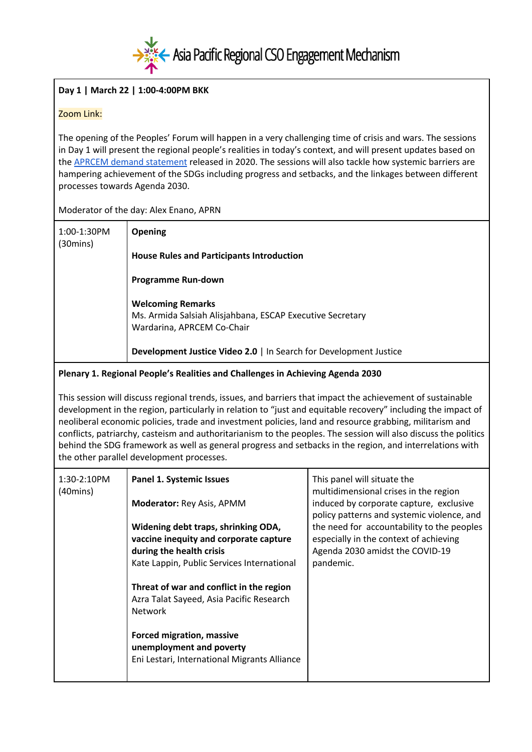

## **Day 1 | March 22 | 1:00-4:00PM BKK**

## Zoom Link:

The opening of the Peoples' Forum will happen in a very challenging time of crisis and wars. The sessions in Day 1 will present the regional people's realities in today's context, and will present updates based on the APRCEM demand statement released in 2020. The sessions will also tackle how systemic barriers are hampering achievement of the SDGs including progress and setbacks, and the linkages between different processes towards Agenda 2030.

#### Moderator of the day: Alex Enano, APRN

| 1:00-1:30PM<br>(30 mins) | <b>Opening</b>                                                                                                      |
|--------------------------|---------------------------------------------------------------------------------------------------------------------|
|                          | <b>House Rules and Participants Introduction</b>                                                                    |
|                          | <b>Programme Run-down</b>                                                                                           |
|                          | <b>Welcoming Remarks</b><br>Ms. Armida Salsiah Alisjahbana, ESCAP Executive Secretary<br>Wardarina, APRCEM Co-Chair |
|                          | Development Justice Video 2.0   In Search for Development Justice                                                   |

## **Plenary 1. Regional People's Realities and Challenges in Achieving Agenda 2030**

This session will discuss regional trends, issues, and barriers that impact the achievement of sustainable development in the region, particularly in relation to "just and equitable recovery" including the impact of neoliberal economic policies, trade and investment policies, land and resource grabbing, militarism and conflicts, patriarchy, casteism and authoritarianism to the peoples. The session will also discuss the politics behind the SDG framework as well as general progress and setbacks in the region, and interrelations with the other parallel development processes.

| 1:30-2:10PM<br>$(40 \text{mins})$ | <b>Panel 1. Systemic Issues</b>                                                                                                                         | This panel will situate the<br>multidimensional crises in the region                                                                 |
|-----------------------------------|---------------------------------------------------------------------------------------------------------------------------------------------------------|--------------------------------------------------------------------------------------------------------------------------------------|
|                                   | Moderator: Rey Asis, APMM                                                                                                                               | induced by corporate capture, exclusive<br>policy patterns and systemic violence, and                                                |
|                                   | Widening debt traps, shrinking ODA,<br>vaccine inequity and corporate capture<br>during the health crisis<br>Kate Lappin, Public Services International | the need for accountability to the peoples<br>especially in the context of achieving<br>Agenda 2030 amidst the COVID-19<br>pandemic. |
|                                   | Threat of war and conflict in the region<br>Azra Talat Sayeed, Asia Pacific Research<br><b>Network</b>                                                  |                                                                                                                                      |
|                                   | <b>Forced migration, massive</b><br>unemployment and poverty<br>Eni Lestari, International Migrants Alliance                                            |                                                                                                                                      |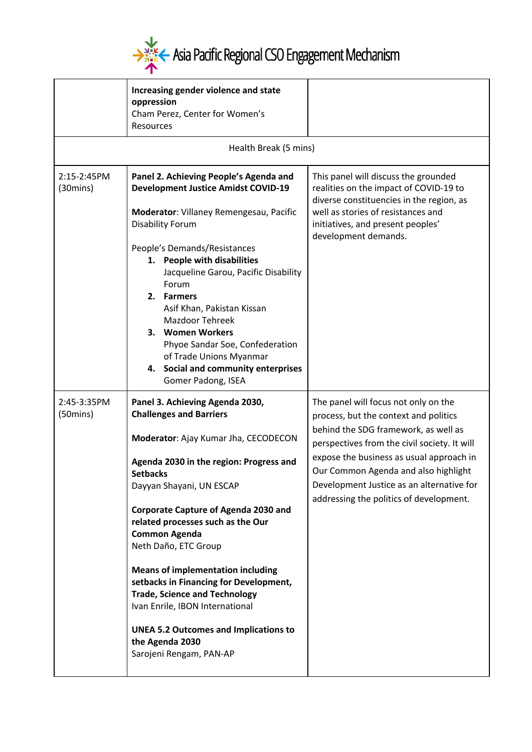

|                                   | Increasing gender violence and state<br>oppression<br>Cham Perez, Center for Women's<br><b>Resources</b>                                                                                                                                                                                                                                                                                                                                                                                                                                                                                               |                                                                                                                                                                                                                                                                                                                                                   |
|-----------------------------------|--------------------------------------------------------------------------------------------------------------------------------------------------------------------------------------------------------------------------------------------------------------------------------------------------------------------------------------------------------------------------------------------------------------------------------------------------------------------------------------------------------------------------------------------------------------------------------------------------------|---------------------------------------------------------------------------------------------------------------------------------------------------------------------------------------------------------------------------------------------------------------------------------------------------------------------------------------------------|
|                                   | Health Break (5 mins)                                                                                                                                                                                                                                                                                                                                                                                                                                                                                                                                                                                  |                                                                                                                                                                                                                                                                                                                                                   |
| 2:15-2:45PM<br>$(30 \text{mins})$ | Panel 2. Achieving People's Agenda and<br><b>Development Justice Amidst COVID-19</b><br>Moderator: Villaney Remengesau, Pacific<br><b>Disability Forum</b><br>People's Demands/Resistances<br>1. People with disabilities<br>Jacqueline Garou, Pacific Disability<br>Forum<br>2. Farmers<br>Asif Khan, Pakistan Kissan<br><b>Mazdoor Tehreek</b><br>3. Women Workers<br>Phyoe Sandar Soe, Confederation<br>of Trade Unions Myanmar<br>4. Social and community enterprises<br>Gomer Padong, ISEA                                                                                                        | This panel will discuss the grounded<br>realities on the impact of COVID-19 to<br>diverse constituencies in the region, as<br>well as stories of resistances and<br>initiatives, and present peoples'<br>development demands.                                                                                                                     |
| 2:45-3:35PM<br>$(50 \text{mins})$ | Panel 3. Achieving Agenda 2030,<br><b>Challenges and Barriers</b><br>Moderator: Ajay Kumar Jha, CECODECON<br>Agenda 2030 in the region: Progress and<br><b>Setbacks</b><br>Dayyan Shayani, UN ESCAP<br><b>Corporate Capture of Agenda 2030 and</b><br>related processes such as the Our<br><b>Common Agenda</b><br>Neth Daño, ETC Group<br><b>Means of implementation including</b><br>setbacks in Financing for Development,<br><b>Trade, Science and Technology</b><br>Ivan Enrile, IBON International<br><b>UNEA 5.2 Outcomes and Implications to</b><br>the Agenda 2030<br>Sarojeni Rengam, PAN-AP | The panel will focus not only on the<br>process, but the context and politics<br>behind the SDG framework, as well as<br>perspectives from the civil society. It will<br>expose the business as usual approach in<br>Our Common Agenda and also highlight<br>Development Justice as an alternative for<br>addressing the politics of development. |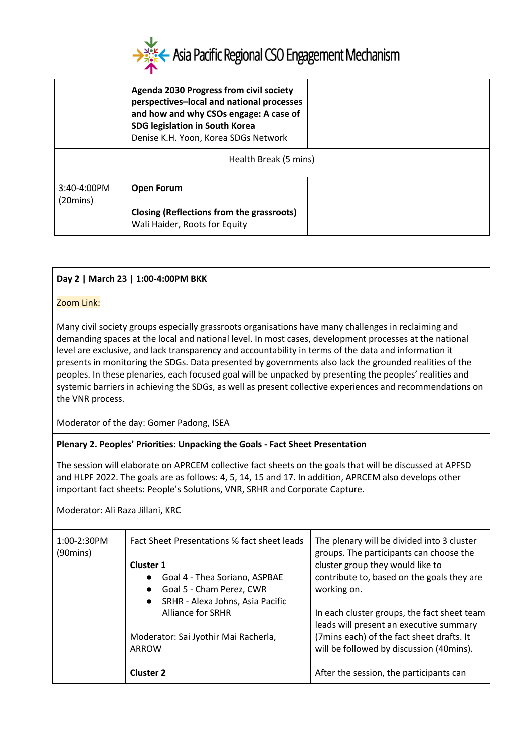

|                            | Agenda 2030 Progress from civil society<br>perspectives-local and national processes<br>and how and why CSOs engage: A case of<br>SDG legislation in South Korea<br>Denise K.H. Yoon, Korea SDGs Network |  |
|----------------------------|----------------------------------------------------------------------------------------------------------------------------------------------------------------------------------------------------------|--|
| Health Break (5 mins)      |                                                                                                                                                                                                          |  |
| $3:40-4:00PM$<br>(20 mins) | <b>Open Forum</b>                                                                                                                                                                                        |  |
|                            | Closing (Reflections from the grassroots)<br>Wali Haider, Roots for Equity                                                                                                                               |  |

# **Day 2 | March 23 | 1:00-4:00PM BKK**

#### Zoom Link:

Many civil society groups especially grassroots organisations have many challenges in reclaiming and demanding spaces at the local and national level. In most cases, development processes at the national level are exclusive, and lack transparency and accountability in terms of the data and information it presents in monitoring the SDGs. Data presented by governments also lack the grounded realities of the peoples. In these plenaries, each focused goal will be unpacked by presenting the peoples' realities and systemic barriers in achieving the SDGs, as well as present collective experiences and recommendations on the VNR process.

Moderator of the day: Gomer Padong, ISEA

## **Plenary 2. Peoples' Priorities: Unpacking the Goals - Fact Sheet Presentation**

The session will elaborate on APRCEM collective fact sheets on the goals that will be discussed at APFSD and HLPF 2022. The goals are as follows: 4, 5, 14, 15 and 17. In addition, APRCEM also develops other important fact sheets: People's Solutions, VNR, SRHR and Corporate Capture.

Moderator: Ali Raza Jillani, KRC

| 1:00-2:30PM<br>$(90 \text{mins})$ | Fact Sheet Presentations % fact sheet leads<br><b>Cluster 1</b><br>Goal 4 - Thea Soriano, ASPBAE<br>$\bullet$<br>Goal 5 - Cham Perez, CWR<br>$\bullet$ | The plenary will be divided into 3 cluster<br>groups. The participants can choose the<br>cluster group they would like to<br>contribute to, based on the goals they are<br>working on. |
|-----------------------------------|--------------------------------------------------------------------------------------------------------------------------------------------------------|----------------------------------------------------------------------------------------------------------------------------------------------------------------------------------------|
|                                   | SRHR - Alexa Johns, Asia Pacific<br>$\bullet$<br><b>Alliance for SRHR</b><br>Moderator: Sai Jyothir Mai Racherla,<br>ARROW                             | In each cluster groups, the fact sheet team<br>leads will present an executive summary<br>(7mins each) of the fact sheet drafts. It<br>will be followed by discussion (40mins).        |
|                                   | <b>Cluster 2</b>                                                                                                                                       | After the session, the participants can                                                                                                                                                |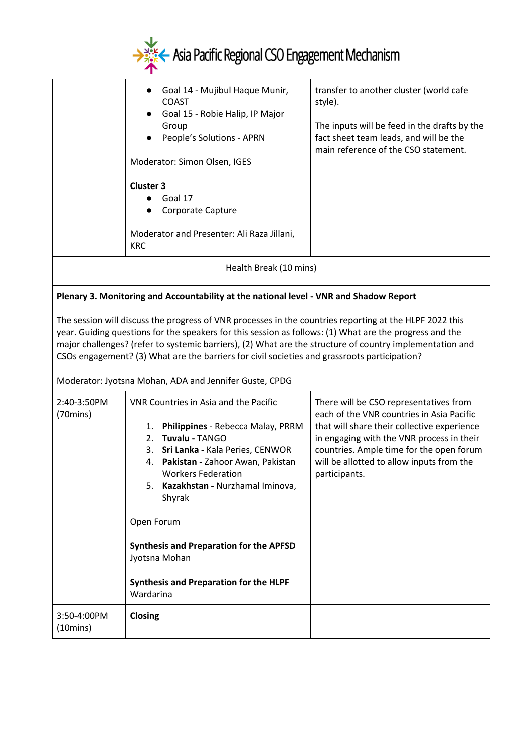

|                                                                                                                                                                                                                                                                                                                                                                                                                                                                                                                                                                                    | Goal 14 - Mujibul Haque Munir,<br>$\bullet$<br><b>COAST</b><br>Goal 15 - Robie Halip, IP Major<br>Group<br>People's Solutions - APRN<br>Moderator: Simon Olsen, IGES<br><b>Cluster 3</b><br>Goal 17<br>Corporate Capture<br>Moderator and Presenter: Ali Raza Jillani,<br><b>KRC</b>                                                                                                                                    | transfer to another cluster (world cafe<br>style).<br>The inputs will be feed in the drafts by the<br>fact sheet team leads, and will be the<br>main reference of the CSO statement.                                                                                                      |  |
|------------------------------------------------------------------------------------------------------------------------------------------------------------------------------------------------------------------------------------------------------------------------------------------------------------------------------------------------------------------------------------------------------------------------------------------------------------------------------------------------------------------------------------------------------------------------------------|-------------------------------------------------------------------------------------------------------------------------------------------------------------------------------------------------------------------------------------------------------------------------------------------------------------------------------------------------------------------------------------------------------------------------|-------------------------------------------------------------------------------------------------------------------------------------------------------------------------------------------------------------------------------------------------------------------------------------------|--|
|                                                                                                                                                                                                                                                                                                                                                                                                                                                                                                                                                                                    | Health Break (10 mins)                                                                                                                                                                                                                                                                                                                                                                                                  |                                                                                                                                                                                                                                                                                           |  |
| Plenary 3. Monitoring and Accountability at the national level - VNR and Shadow Report<br>The session will discuss the progress of VNR processes in the countries reporting at the HLPF 2022 this<br>year. Guiding questions for the speakers for this session as follows: (1) What are the progress and the<br>major challenges? (refer to systemic barriers), (2) What are the structure of country implementation and<br>CSOs engagement? (3) What are the barriers for civil societies and grassroots participation?<br>Moderator: Jyotsna Mohan, ADA and Jennifer Guste, CPDG |                                                                                                                                                                                                                                                                                                                                                                                                                         |                                                                                                                                                                                                                                                                                           |  |
| 2:40-3:50PM<br>$(70 \text{mins})$                                                                                                                                                                                                                                                                                                                                                                                                                                                                                                                                                  | VNR Countries in Asia and the Pacific<br>Philippines - Rebecca Malay, PRRM<br>1.<br>Tuvalu - TANGO<br>2.<br>Sri Lanka - Kala Peries, CENWOR<br>3.<br>Pakistan - Zahoor Awan, Pakistan<br>4.<br><b>Workers Federation</b><br>5. Kazakhstan - Nurzhamal Iminova,<br>Shyrak<br>Open Forum<br><b>Synthesis and Preparation for the APFSD</b><br>Jyotsna Mohan<br><b>Synthesis and Preparation for the HLPF</b><br>Wardarina | There will be CSO representatives from<br>each of the VNR countries in Asia Pacific<br>that will share their collective experience<br>in engaging with the VNR process in their<br>countries. Ample time for the open forum<br>will be allotted to allow inputs from the<br>participants. |  |
| 3:50-4:00PM<br>$(10 \text{mins})$                                                                                                                                                                                                                                                                                                                                                                                                                                                                                                                                                  | Closing                                                                                                                                                                                                                                                                                                                                                                                                                 |                                                                                                                                                                                                                                                                                           |  |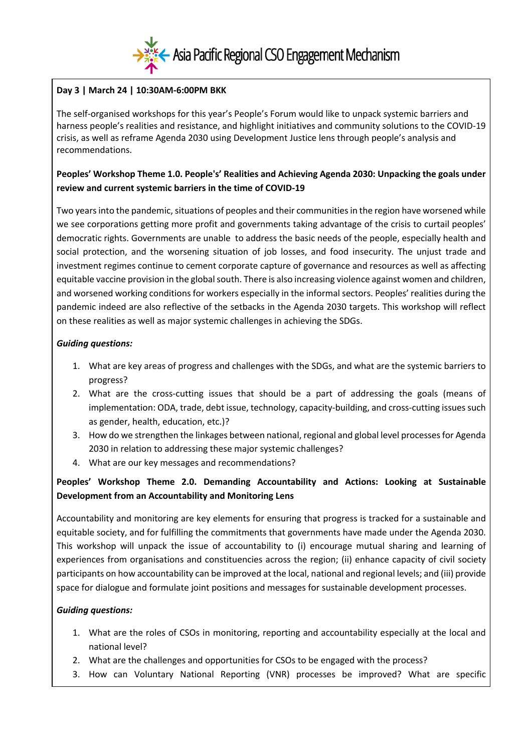

# **Day 3 | March 24 | 10:30AM-6:00PM BKK**

The self-organised workshops for this year's People's Forum would like to unpack systemic barriers and harness people's realities and resistance, and highlight initiatives and community solutions to the COVID-19 crisis, as well as reframe Agenda 2030 using Development Justice lens through people's analysis and recommendations.

# **Peoples' Workshop Theme 1.0. People's' Realities and Achieving Agenda 2030: Unpacking the goals under review and current systemic barriers in the time of COVID-19**

Two years into the pandemic, situations of peoples and their communities in the region have worsened while we see corporations getting more profit and governments taking advantage of the crisis to curtail peoples' democratic rights. Governments are unable to address the basic needs of the people, especially health and social protection, and the worsening situation of job losses, and food insecurity. The unjust trade and investment regimes continue to cement corporate capture of governance and resources as well as affecting equitable vaccine provision in the global south. There is also increasing violence against women and children, and worsened working conditions for workers especially in the informal sectors. Peoples' realities during the pandemic indeed are also reflective of the setbacks in the Agenda 2030 targets. This workshop will reflect on these realities as well as major systemic challenges in achieving the SDGs.

## *Guiding questions:*

- 1. What are key areas of progress and challenges with the SDGs, and what are the systemic barriers to progress?
- 2. What are the cross-cutting issues that should be a part of addressing the goals (means of implementation: ODA, trade, debt issue, technology, capacity-building, and cross-cutting issues such as gender, health, education, etc.)?
- 3. How do we strengthen the linkages between national, regional and global level processes for Agenda 2030 in relation to addressing these major systemic challenges?
- 4. What are our key messages and recommendations?

# **Peoples' Workshop Theme 2.0. Demanding Accountability and Actions: Looking at Sustainable Development from an Accountability and Monitoring Lens**

Accountability and monitoring are key elements for ensuring that progress is tracked for a sustainable and equitable society, and for fulfilling the commitments that governments have made under the Agenda 2030. This workshop will unpack the issue of accountability to (i) encourage mutual sharing and learning of experiences from organisations and constituencies across the region; (ii) enhance capacity of civil society participants on how accountability can be improved at the local, national and regional levels; and (iii) provide space for dialogue and formulate joint positions and messages for sustainable development processes.

## *Guiding questions:*

- 1. What are the roles of CSOs in monitoring, reporting and accountability especially at the local and national level?
- 2. What are the challenges and opportunities for CSOs to be engaged with the process?
- 3. How can Voluntary National Reporting (VNR) processes be improved? What are specific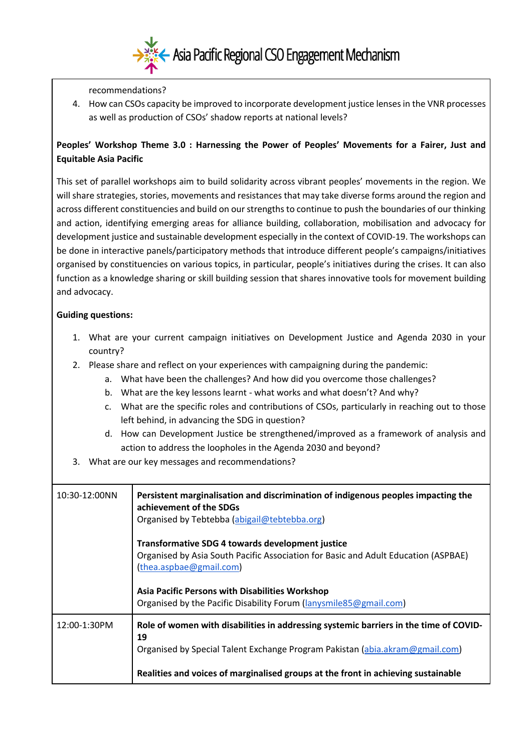

recommendations?

4. How can CSOs capacity be improved to incorporate development justice lenses in the VNR processes as well as production of CSOs' shadow reports at national levels?

# **Peoples' Workshop Theme 3.0 : Harnessing the Power of Peoples' Movements for a Fairer, Just and Equitable Asia Pacific**

This set of parallel workshops aim to build solidarity across vibrant peoples' movements in the region. We will share strategies, stories, movements and resistances that may take diverse forms around the region and across different constituencies and build on our strengths to continue to push the boundaries of our thinking and action, identifying emerging areas for alliance building, collaboration, mobilisation and advocacy for development justice and sustainable development especially in the context of COVID-19. The workshops can be done in interactive panels/participatory methods that introduce different people's campaigns/initiatives organised by constituencies on various topics, in particular, people's initiatives during the crises. It can also function as a knowledge sharing or skill building session that shares innovative tools for movement building and advocacy.

# **Guiding questions:**

- 1. What are your current campaign initiatives on Development Justice and Agenda 2030 in your country?
- 2. Please share and reflect on your experiences with campaigning during the pandemic:
	- a. What have been the challenges? And how did you overcome those challenges?
	- b. What are the key lessons learnt what works and what doesn't? And why?
	- c. What are the specific roles and contributions of CSOs, particularly in reaching out to those left behind, in advancing the SDG in question?
	- d. How can Development Justice be strengthened/improved as a framework of analysis and action to address the loopholes in the Agenda 2030 and beyond?
- 3. What are our key messages and recommendations?

| 10:30-12:00NN | Persistent marginalisation and discrimination of indigenous peoples impacting the<br>achievement of the SDGs<br>Organised by Tebtebba (abigail@tebtebba.org)                                                                                                                                             |
|---------------|----------------------------------------------------------------------------------------------------------------------------------------------------------------------------------------------------------------------------------------------------------------------------------------------------------|
|               | <b>Transformative SDG 4 towards development justice</b><br>Organised by Asia South Pacific Association for Basic and Adult Education (ASPBAE)<br>(thea.aspbae@gmail.com)<br><b>Asia Pacific Persons with Disabilities Workshop</b><br>Organised by the Pacific Disability Forum (lanysmile 85@gmail.com) |
| 12:00-1:30PM  | Role of women with disabilities in addressing systemic barriers in the time of COVID-<br>19<br>Organised by Special Talent Exchange Program Pakistan (abia.akram@gmail.com)<br>Realities and voices of marginalised groups at the front in achieving sustainable                                         |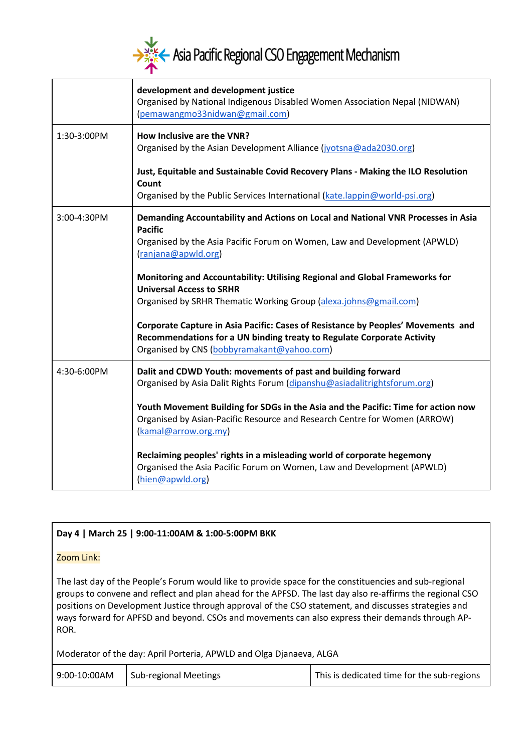

|             | development and development justice<br>Organised by National Indigenous Disabled Women Association Nepal (NIDWAN)<br>(pemawangmo33nidwan@gmail.com)                                                      |  |
|-------------|----------------------------------------------------------------------------------------------------------------------------------------------------------------------------------------------------------|--|
| 1:30-3:00PM | How Inclusive are the VNR?<br>Organised by the Asian Development Alliance (jyotsna@ada2030.org)                                                                                                          |  |
|             | Just, Equitable and Sustainable Covid Recovery Plans - Making the ILO Resolution<br>Count<br>Organised by the Public Services International (kate.lappin@world-psi.org)                                  |  |
| 3:00-4:30PM | Demanding Accountability and Actions on Local and National VNR Processes in Asia<br><b>Pacific</b><br>Organised by the Asia Pacific Forum on Women, Law and Development (APWLD)<br>(ranjana@apwld.org)   |  |
|             | Monitoring and Accountability: Utilising Regional and Global Frameworks for<br><b>Universal Access to SRHR</b><br>Organised by SRHR Thematic Working Group (alexa.johns@gmail.com)                       |  |
|             | Corporate Capture in Asia Pacific: Cases of Resistance by Peoples' Movements and<br>Recommendations for a UN binding treaty to Regulate Corporate Activity<br>Organised by CNS (bobbyramakant@yahoo.com) |  |
| 4:30-6:00PM | Dalit and CDWD Youth: movements of past and building forward<br>Organised by Asia Dalit Rights Forum (dipanshu@asiadalitrightsforum.org)                                                                 |  |
|             | Youth Movement Building for SDGs in the Asia and the Pacific: Time for action now<br>Organised by Asian-Pacific Resource and Research Centre for Women (ARROW)<br>(kamal@arrow.org.my)                   |  |
|             | Reclaiming peoples' rights in a misleading world of corporate hegemony<br>Organised the Asia Pacific Forum on Women, Law and Development (APWLD)<br>(hien@apwld.org)                                     |  |

# **Day 4 | March 25 | 9:00-11:00AM & 1:00-5:00PM BKK**

#### Zoom Link:

The last day of the People's Forum would like to provide space for the constituencies and sub-regional groups to convene and reflect and plan ahead for the APFSD. The last day also re-affirms the regional CSO positions on Development Justice through approval of the CSO statement, and discusses strategies and ways forward for APFSD and beyond. CSOs and movements can also express their demands through AP-ROR.

Moderator of the day: April Porteria, APWLD and Olga Djanaeva, ALGA

| 9:00-10:00AM | Sub-regional Meetings | This is dedicated time for the sub-regions |
|--------------|-----------------------|--------------------------------------------|
|--------------|-----------------------|--------------------------------------------|